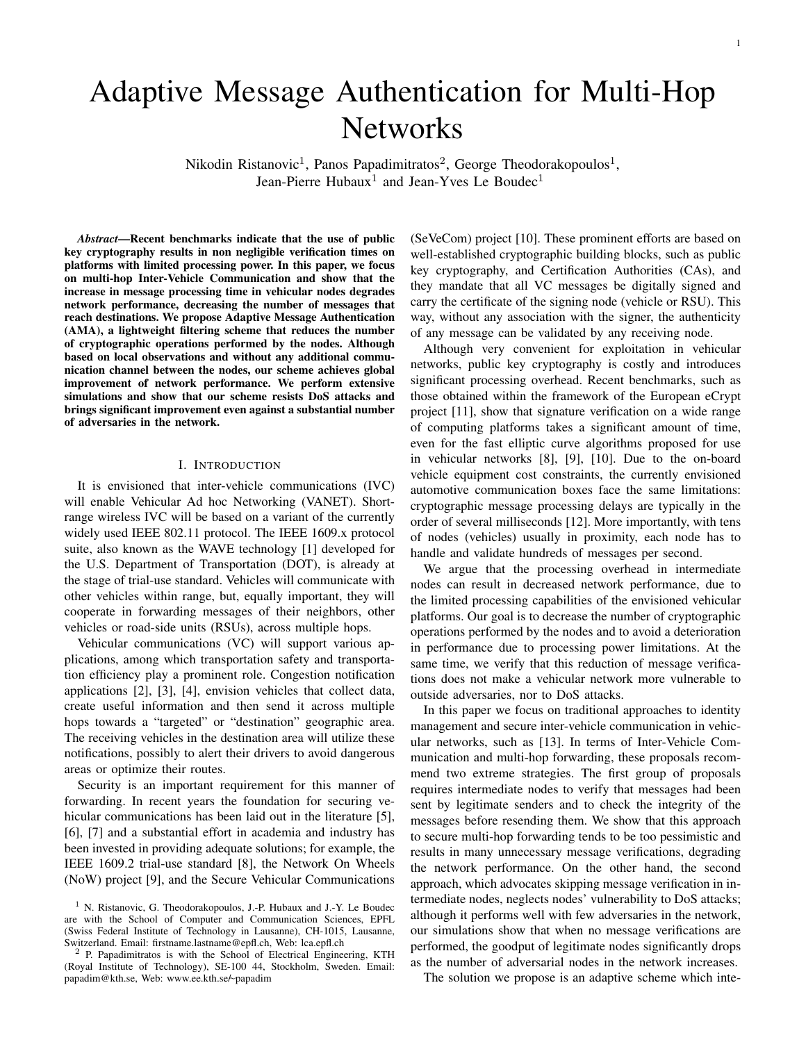# Adaptive Message Authentication for Multi-Hop **Networks**

Nikodin Ristanovic<sup>1</sup>, Panos Papadimitratos<sup>2</sup>, George Theodorakopoulos<sup>1</sup>, Jean-Pierre Hubaux<sup>1</sup> and Jean-Yves Le Boudec<sup>1</sup>

*Abstract*—Recent benchmarks indicate that the use of public key cryptography results in non negligible verification times on platforms with limited processing power. In this paper, we focus on multi-hop Inter-Vehicle Communication and show that the increase in message processing time in vehicular nodes degrades network performance, decreasing the number of messages that reach destinations. We propose Adaptive Message Authentication (AMA), a lightweight filtering scheme that reduces the number of cryptographic operations performed by the nodes. Although based on local observations and without any additional communication channel between the nodes, our scheme achieves global improvement of network performance. We perform extensive simulations and show that our scheme resists DoS attacks and brings significant improvement even against a substantial number of adversaries in the network.

## I. INTRODUCTION

It is envisioned that inter-vehicle communications (IVC) will enable Vehicular Ad hoc Networking (VANET). Shortrange wireless IVC will be based on a variant of the currently widely used IEEE 802.11 protocol. The IEEE 1609.x protocol suite, also known as the WAVE technology [1] developed for the U.S. Department of Transportation (DOT), is already at the stage of trial-use standard. Vehicles will communicate with other vehicles within range, but, equally important, they will cooperate in forwarding messages of their neighbors, other vehicles or road-side units (RSUs), across multiple hops.

Vehicular communications (VC) will support various applications, among which transportation safety and transportation efficiency play a prominent role. Congestion notification applications [2], [3], [4], envision vehicles that collect data, create useful information and then send it across multiple hops towards a "targeted" or "destination" geographic area. The receiving vehicles in the destination area will utilize these notifications, possibly to alert their drivers to avoid dangerous areas or optimize their routes.

Security is an important requirement for this manner of forwarding. In recent years the foundation for securing vehicular communications has been laid out in the literature [5], [6], [7] and a substantial effort in academia and industry has been invested in providing adequate solutions; for example, the IEEE 1609.2 trial-use standard [8], the Network On Wheels (NoW) project [9], and the Secure Vehicular Communications

(SeVeCom) project [10]. These prominent efforts are based on well-established cryptographic building blocks, such as public key cryptography, and Certification Authorities (CAs), and they mandate that all VC messages be digitally signed and carry the certificate of the signing node (vehicle or RSU). This way, without any association with the signer, the authenticity of any message can be validated by any receiving node.

Although very convenient for exploitation in vehicular networks, public key cryptography is costly and introduces significant processing overhead. Recent benchmarks, such as those obtained within the framework of the European eCrypt project [11], show that signature verification on a wide range of computing platforms takes a significant amount of time, even for the fast elliptic curve algorithms proposed for use in vehicular networks [8], [9], [10]. Due to the on-board vehicle equipment cost constraints, the currently envisioned automotive communication boxes face the same limitations: cryptographic message processing delays are typically in the order of several milliseconds [12]. More importantly, with tens of nodes (vehicles) usually in proximity, each node has to handle and validate hundreds of messages per second.

We argue that the processing overhead in intermediate nodes can result in decreased network performance, due to the limited processing capabilities of the envisioned vehicular platforms. Our goal is to decrease the number of cryptographic operations performed by the nodes and to avoid a deterioration in performance due to processing power limitations. At the same time, we verify that this reduction of message verifications does not make a vehicular network more vulnerable to outside adversaries, nor to DoS attacks.

In this paper we focus on traditional approaches to identity management and secure inter-vehicle communication in vehicular networks, such as [13]. In terms of Inter-Vehicle Communication and multi-hop forwarding, these proposals recommend two extreme strategies. The first group of proposals requires intermediate nodes to verify that messages had been sent by legitimate senders and to check the integrity of the messages before resending them. We show that this approach to secure multi-hop forwarding tends to be too pessimistic and results in many unnecessary message verifications, degrading the network performance. On the other hand, the second approach, which advocates skipping message verification in intermediate nodes, neglects nodes' vulnerability to DoS attacks; although it performs well with few adversaries in the network, our simulations show that when no message verifications are performed, the goodput of legitimate nodes significantly drops as the number of adversarial nodes in the network increases.

The solution we propose is an adaptive scheme which inte-

<sup>&</sup>lt;sup>1</sup> N. Ristanovic, G. Theodorakopoulos, J.-P. Hubaux and J.-Y. Le Boudec are with the School of Computer and Communication Sciences, EPFL (Swiss Federal Institute of Technology in Lausanne), CH-1015, Lausanne, Switzerland. Email: firstname.lastname@epfl.ch, Web: lca.epfl.ch

<sup>&</sup>lt;sup>2</sup> P. Papadimitratos is with the School of Electrical Engineering, KTH (Royal Institute of Technology), SE-100 44, Stockholm, Sweden. Email: papadim@kth.se, Web: www.ee.kth.se/ papadim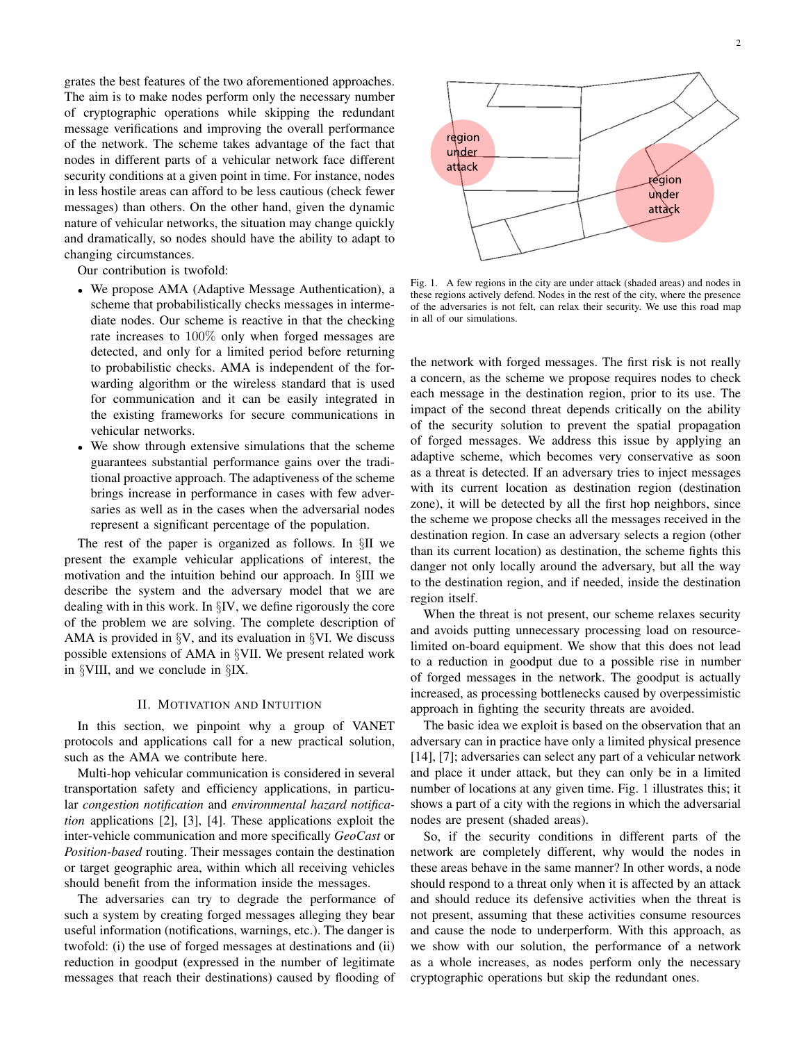grates the best features of the two aforementioned approaches. The aim is to make nodes perform only the necessary number of cryptographic operations while skipping the redundant message verifications and improving the overall performance of the network. The scheme takes advantage of the fact that nodes in different parts of a vehicular network face different security conditions at a given point in time. For instance, nodes in less hostile areas can afford to be less cautious (check fewer messages) than others. On the other hand, given the dynamic nature of vehicular networks, the situation may change quickly and dramatically, so nodes should have the ability to adapt to changing circumstances.

Our contribution is twofold:

- *•* We propose AMA (Adaptive Message Authentication), a scheme that probabilistically checks messages in intermediate nodes. Our scheme is reactive in that the checking rate increases to 100% only when forged messages are detected, and only for a limited period before returning to probabilistic checks. AMA is independent of the forwarding algorithm or the wireless standard that is used for communication and it can be easily integrated in the existing frameworks for secure communications in vehicular networks.
- *•* We show through extensive simulations that the scheme guarantees substantial performance gains over the traditional proactive approach. The adaptiveness of the scheme brings increase in performance in cases with few adversaries as well as in the cases when the adversarial nodes represent a significant percentage of the population.

The rest of the paper is organized as follows. In *§*II we present the example vehicular applications of interest, the motivation and the intuition behind our approach. In *§*III we describe the system and the adversary model that we are dealing with in this work. In *§*IV, we define rigorously the core of the problem we are solving. The complete description of AMA is provided in *§*V, and its evaluation in *§*VI. We discuss possible extensions of AMA in *§*VII. We present related work in *§*VIII, and we conclude in *§*IX.

## II. MOTIVATION AND INTUITION

In this section, we pinpoint why a group of VANET protocols and applications call for a new practical solution, such as the AMA we contribute here.

Multi-hop vehicular communication is considered in several transportation safety and efficiency applications, in particular *congestion notification* and *environmental hazard notification* applications [2], [3], [4]. These applications exploit the inter-vehicle communication and more specifically *GeoCast* or *Position-based* routing. Their messages contain the destination or target geographic area, within which all receiving vehicles should benefit from the information inside the messages.

The adversaries can try to degrade the performance of such a system by creating forged messages alleging they bear useful information (notifications, warnings, etc.). The danger is twofold: (i) the use of forged messages at destinations and (ii) reduction in goodput (expressed in the number of legitimate messages that reach their destinations) caused by flooding of



Fig. 1. A few regions in the city are under attack (shaded areas) and nodes in these regions actively defend. Nodes in the rest of the city, where the presence of the adversaries is not felt, can relax their security. We use this road map in all of our simulations.

the network with forged messages. The first risk is not really a concern, as the scheme we propose requires nodes to check each message in the destination region, prior to its use. The impact of the second threat depends critically on the ability of the security solution to prevent the spatial propagation of forged messages. We address this issue by applying an adaptive scheme, which becomes very conservative as soon as a threat is detected. If an adversary tries to inject messages with its current location as destination region (destination zone), it will be detected by all the first hop neighbors, since the scheme we propose checks all the messages received in the destination region. In case an adversary selects a region (other than its current location) as destination, the scheme fights this danger not only locally around the adversary, but all the way to the destination region, and if needed, inside the destination region itself.

When the threat is not present, our scheme relaxes security and avoids putting unnecessary processing load on resourcelimited on-board equipment. We show that this does not lead to a reduction in goodput due to a possible rise in number of forged messages in the network. The goodput is actually increased, as processing bottlenecks caused by overpessimistic approach in fighting the security threats are avoided.

The basic idea we exploit is based on the observation that an adversary can in practice have only a limited physical presence [14], [7]; adversaries can select any part of a vehicular network and place it under attack, but they can only be in a limited number of locations at any given time. Fig. 1 illustrates this; it shows a part of a city with the regions in which the adversarial nodes are present (shaded areas).

So, if the security conditions in different parts of the network are completely different, why would the nodes in these areas behave in the same manner? In other words, a node should respond to a threat only when it is affected by an attack and should reduce its defensive activities when the threat is not present, assuming that these activities consume resources and cause the node to underperform. With this approach, as we show with our solution, the performance of a network as a whole increases, as nodes perform only the necessary cryptographic operations but skip the redundant ones.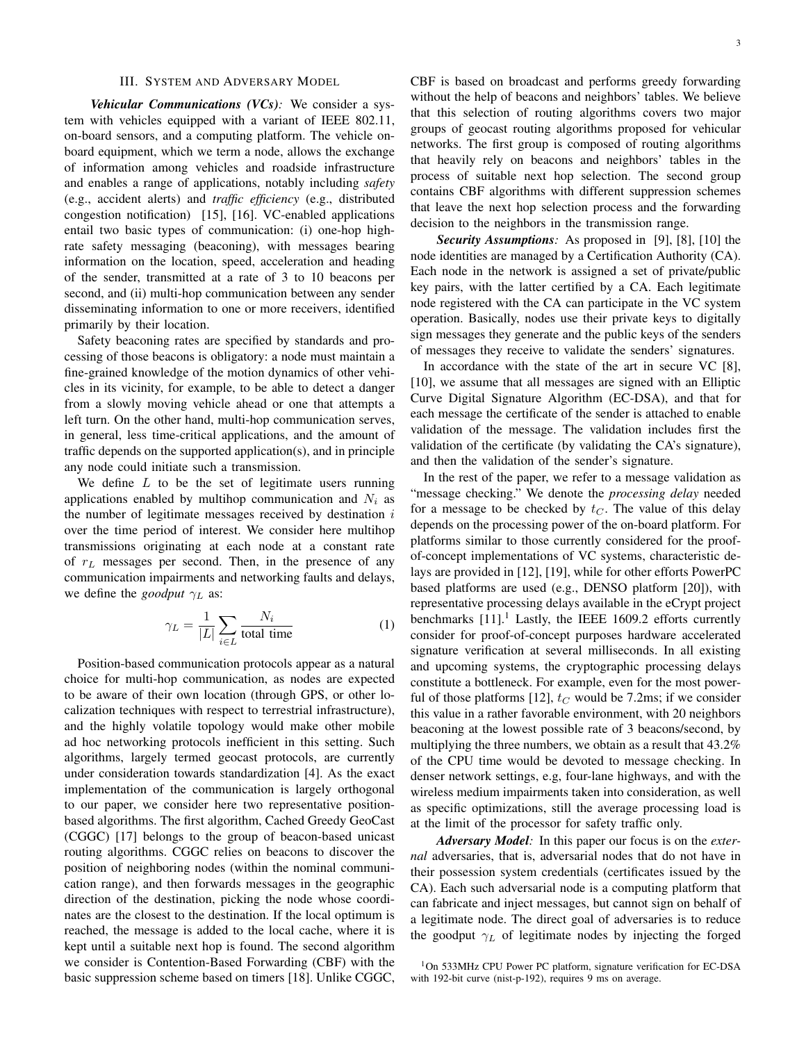### III. SYSTEM AND ADVERSARY MODEL

*Vehicular Communications (VCs):* We consider a system with vehicles equipped with a variant of IEEE 802.11, on-board sensors, and a computing platform. The vehicle onboard equipment, which we term a node, allows the exchange of information among vehicles and roadside infrastructure and enables a range of applications, notably including *safety* (e.g., accident alerts) and *traffic efficiency* (e.g., distributed congestion notification) [15], [16]. VC-enabled applications entail two basic types of communication: (i) one-hop highrate safety messaging (beaconing), with messages bearing information on the location, speed, acceleration and heading of the sender, transmitted at a rate of 3 to 10 beacons per second, and (ii) multi-hop communication between any sender disseminating information to one or more receivers, identified primarily by their location.

Safety beaconing rates are specified by standards and processing of those beacons is obligatory: a node must maintain a fine-grained knowledge of the motion dynamics of other vehicles in its vicinity, for example, to be able to detect a danger from a slowly moving vehicle ahead or one that attempts a left turn. On the other hand, multi-hop communication serves, in general, less time-critical applications, and the amount of traffic depends on the supported application(s), and in principle any node could initiate such a transmission.

We define *L* to be the set of legitimate users running applications enabled by multihop communication and  $N_i$  as the number of legitimate messages received by destination *i* over the time period of interest. We consider here multihop transmissions originating at each node at a constant rate of *r<sup>L</sup>* messages per second. Then, in the presence of any communication impairments and networking faults and delays, we define the *goodput γ<sup>L</sup>* as:

$$
\gamma_L = \frac{1}{|L|} \sum_{i \in L} \frac{N_i}{\text{total time}} \tag{1}
$$

Position-based communication protocols appear as a natural choice for multi-hop communication, as nodes are expected to be aware of their own location (through GPS, or other localization techniques with respect to terrestrial infrastructure), and the highly volatile topology would make other mobile ad hoc networking protocols inefficient in this setting. Such algorithms, largely termed geocast protocols, are currently under consideration towards standardization [4]. As the exact implementation of the communication is largely orthogonal to our paper, we consider here two representative positionbased algorithms. The first algorithm, Cached Greedy GeoCast (CGGC) [17] belongs to the group of beacon-based unicast routing algorithms. CGGC relies on beacons to discover the position of neighboring nodes (within the nominal communication range), and then forwards messages in the geographic direction of the destination, picking the node whose coordinates are the closest to the destination. If the local optimum is reached, the message is added to the local cache, where it is kept until a suitable next hop is found. The second algorithm we consider is Contention-Based Forwarding (CBF) with the basic suppression scheme based on timers [18]. Unlike CGGC, CBF is based on broadcast and performs greedy forwarding without the help of beacons and neighbors' tables. We believe that this selection of routing algorithms covers two major groups of geocast routing algorithms proposed for vehicular networks. The first group is composed of routing algorithms that heavily rely on beacons and neighbors' tables in the process of suitable next hop selection. The second group contains CBF algorithms with different suppression schemes that leave the next hop selection process and the forwarding decision to the neighbors in the transmission range.

*Security Assumptions:* As proposed in [9], [8], [10] the node identities are managed by a Certification Authority (CA). Each node in the network is assigned a set of private/public key pairs, with the latter certified by a CA. Each legitimate node registered with the CA can participate in the VC system operation. Basically, nodes use their private keys to digitally sign messages they generate and the public keys of the senders of messages they receive to validate the senders' signatures.

In accordance with the state of the art in secure VC [8], [10], we assume that all messages are signed with an Elliptic Curve Digital Signature Algorithm (EC-DSA), and that for each message the certificate of the sender is attached to enable validation of the message. The validation includes first the validation of the certificate (by validating the CA's signature), and then the validation of the sender's signature.

In the rest of the paper, we refer to a message validation as "message checking." We denote the *processing delay* needed for a message to be checked by  $t_C$ . The value of this delay depends on the processing power of the on-board platform. For platforms similar to those currently considered for the proofof-concept implementations of VC systems, characteristic delays are provided in [12], [19], while for other efforts PowerPC based platforms are used (e.g., DENSO platform [20]), with representative processing delays available in the eCrypt project benchmarks  $[11]$ .<sup>1</sup> Lastly, the IEEE 1609.2 efforts currently consider for proof-of-concept purposes hardware accelerated signature verification at several milliseconds. In all existing and upcoming systems, the cryptographic processing delays constitute a bottleneck. For example, even for the most powerful of those platforms [12],  $t_C$  would be 7.2ms; if we consider this value in a rather favorable environment, with 20 neighbors beaconing at the lowest possible rate of 3 beacons/second, by multiplying the three numbers, we obtain as a result that 43.2% of the CPU time would be devoted to message checking. In denser network settings, e.g, four-lane highways, and with the wireless medium impairments taken into consideration, as well as specific optimizations, still the average processing load is at the limit of the processor for safety traffic only.

*Adversary Model:* In this paper our focus is on the *external* adversaries, that is, adversarial nodes that do not have in their possession system credentials (certificates issued by the CA). Each such adversarial node is a computing platform that can fabricate and inject messages, but cannot sign on behalf of a legitimate node. The direct goal of adversaries is to reduce the goodput  $\gamma_L$  of legitimate nodes by injecting the forged

<sup>1</sup>On 533MHz CPU Power PC platform, signature verification for EC-DSA with 192-bit curve (nist-p-192), requires 9 ms on average.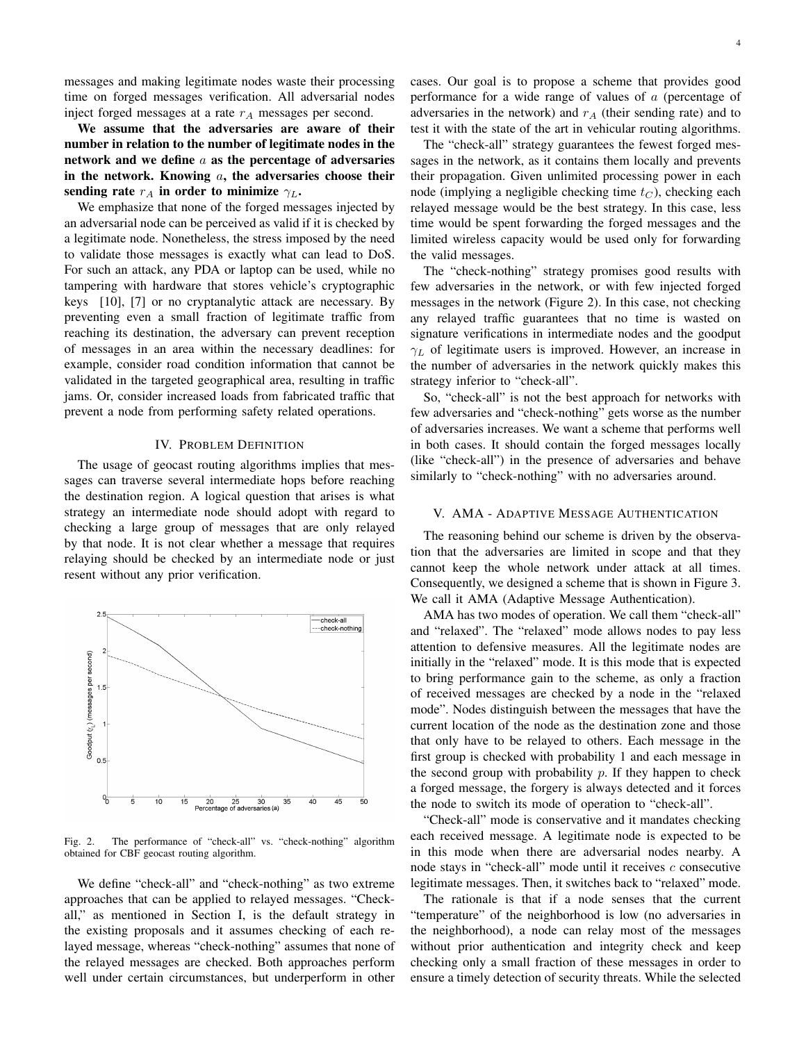messages and making legitimate nodes waste their processing time on forged messages verification. All adversarial nodes inject forged messages at a rate *r<sup>A</sup>* messages per second.

We assume that the adversaries are aware of their number in relation to the number of legitimate nodes in the network and we define *a* as the percentage of adversaries in the network. Knowing *a*, the adversaries choose their sending rate  $r_A$  in order to minimize  $\gamma_L$ .

We emphasize that none of the forged messages injected by an adversarial node can be perceived as valid if it is checked by a legitimate node. Nonetheless, the stress imposed by the need to validate those messages is exactly what can lead to DoS. For such an attack, any PDA or laptop can be used, while no tampering with hardware that stores vehicle's cryptographic keys [10], [7] or no cryptanalytic attack are necessary. By preventing even a small fraction of legitimate traffic from reaching its destination, the adversary can prevent reception of messages in an area within the necessary deadlines: for example, consider road condition information that cannot be validated in the targeted geographical area, resulting in traffic jams. Or, consider increased loads from fabricated traffic that prevent a node from performing safety related operations.

## IV. PROBLEM DEFINITION

The usage of geocast routing algorithms implies that messages can traverse several intermediate hops before reaching the destination region. A logical question that arises is what strategy an intermediate node should adopt with regard to checking a large group of messages that are only relayed by that node. It is not clear whether a message that requires relaying should be checked by an intermediate node or just resent without any prior verification.



Fig. 2. The performance of "check-all" vs. "check-nothing" algorithm obtained for CBF geocast routing algorithm.

We define "check-all" and "check-nothing" as two extreme approaches that can be applied to relayed messages. "Checkall," as mentioned in Section I, is the default strategy in the existing proposals and it assumes checking of each relayed message, whereas "check-nothing" assumes that none of the relayed messages are checked. Both approaches perform well under certain circumstances, but underperform in other cases. Our goal is to propose a scheme that provides good performance for a wide range of values of *a* (percentage of adversaries in the network) and *r<sup>A</sup>* (their sending rate) and to test it with the state of the art in vehicular routing algorithms.

The "check-all" strategy guarantees the fewest forged messages in the network, as it contains them locally and prevents their propagation. Given unlimited processing power in each node (implying a negligible checking time *t<sup>C</sup>* ), checking each relayed message would be the best strategy. In this case, less time would be spent forwarding the forged messages and the limited wireless capacity would be used only for forwarding the valid messages.

The "check-nothing" strategy promises good results with few adversaries in the network, or with few injected forged messages in the network (Figure 2). In this case, not checking any relayed traffic guarantees that no time is wasted on signature verifications in intermediate nodes and the goodput *γ<sup>L</sup>* of legitimate users is improved. However, an increase in the number of adversaries in the network quickly makes this strategy inferior to "check-all".

So, "check-all" is not the best approach for networks with few adversaries and "check-nothing" gets worse as the number of adversaries increases. We want a scheme that performs well in both cases. It should contain the forged messages locally (like "check-all") in the presence of adversaries and behave similarly to "check-nothing" with no adversaries around.

## V. AMA - ADAPTIVE MESSAGE AUTHENTICATION

The reasoning behind our scheme is driven by the observation that the adversaries are limited in scope and that they cannot keep the whole network under attack at all times. Consequently, we designed a scheme that is shown in Figure 3. We call it AMA (Adaptive Message Authentication).

AMA has two modes of operation. We call them "check-all" and "relaxed". The "relaxed" mode allows nodes to pay less attention to defensive measures. All the legitimate nodes are initially in the "relaxed" mode. It is this mode that is expected to bring performance gain to the scheme, as only a fraction of received messages are checked by a node in the "relaxed mode". Nodes distinguish between the messages that have the current location of the node as the destination zone and those that only have to be relayed to others. Each message in the first group is checked with probability 1 and each message in the second group with probability *p*. If they happen to check a forged message, the forgery is always detected and it forces the node to switch its mode of operation to "check-all".

"Check-all" mode is conservative and it mandates checking each received message. A legitimate node is expected to be in this mode when there are adversarial nodes nearby. A node stays in "check-all" mode until it receives *c* consecutive legitimate messages. Then, it switches back to "relaxed" mode.

The rationale is that if a node senses that the current "temperature" of the neighborhood is low (no adversaries in the neighborhood), a node can relay most of the messages without prior authentication and integrity check and keep checking only a small fraction of these messages in order to ensure a timely detection of security threats. While the selected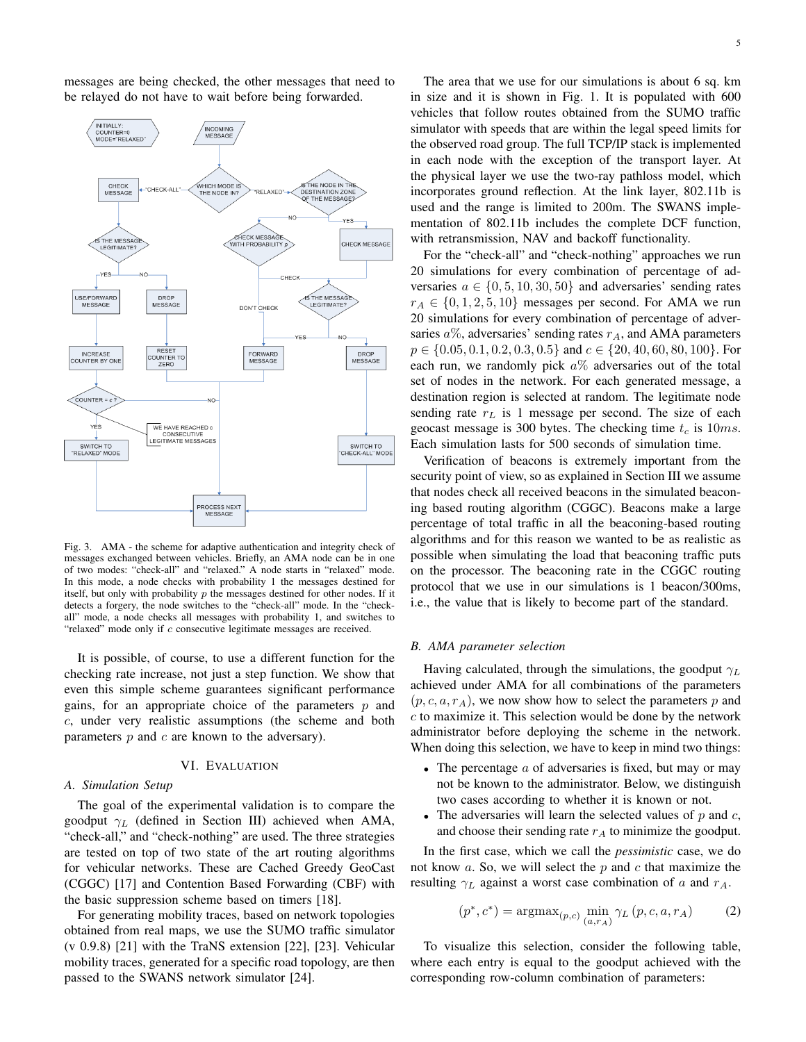messages are being checked, the other messages that need to be relayed do not have to wait before being forwarded.



Fig. 3. AMA - the scheme for adaptive authentication and integrity check of messages exchanged between vehicles. Briefly, an AMA node can be in one of two modes: "check-all" and "relaxed." A node starts in "relaxed" mode. In this mode, a node checks with probability 1 the messages destined for itself, but only with probability *p* the messages destined for other nodes. If it detects a forgery, the node switches to the "check-all" mode. In the "checkall" mode, a node checks all messages with probability 1, and switches to "relaxed" mode only if *c* consecutive legitimate messages are received.

It is possible, of course, to use a different function for the checking rate increase, not just a step function. We show that even this simple scheme guarantees significant performance gains, for an appropriate choice of the parameters *p* and *c*, under very realistic assumptions (the scheme and both parameters *p* and *c* are known to the adversary).

## VI. EVALUATION

## *A. Simulation Setup*

The goal of the experimental validation is to compare the goodput *γ<sup>L</sup>* (defined in Section III) achieved when AMA, "check-all," and "check-nothing" are used. The three strategies are tested on top of two state of the art routing algorithms for vehicular networks. These are Cached Greedy GeoCast (CGGC) [17] and Contention Based Forwarding (CBF) with the basic suppression scheme based on timers [18].

For generating mobility traces, based on network topologies obtained from real maps, we use the SUMO traffic simulator (v 0.9.8) [21] with the TraNS extension [22], [23]. Vehicular mobility traces, generated for a specific road topology, are then passed to the SWANS network simulator [24].

The area that we use for our simulations is about 6 sq. km in size and it is shown in Fig. 1. It is populated with 600 vehicles that follow routes obtained from the SUMO traffic simulator with speeds that are within the legal speed limits for the observed road group. The full TCP/IP stack is implemented in each node with the exception of the transport layer. At the physical layer we use the two-ray pathloss model, which incorporates ground reflection. At the link layer, 802.11b is used and the range is limited to 200m. The SWANS implementation of 802.11b includes the complete DCF function, with retransmission, NAV and backoff functionality.

For the "check-all" and "check-nothing" approaches we run 20 simulations for every combination of percentage of adversaries  $a \in \{0, 5, 10, 30, 50\}$  and adversaries' sending rates  $r_A \in \{0, 1, 2, 5, 10\}$  messages per second. For AMA we run 20 simulations for every combination of percentage of adversaries  $a\%$ , adversaries' sending rates  $r_A$ , and AMA parameters *p ∈ {*0*.*05*,* 0*.*1*,* 0*.*2*,* 0*.*3*,* 0*.*5*}* and *c ∈ {*20*,* 40*,* 60*,* 80*,* 100*}*. For each run, we randomly pick *a*% adversaries out of the total set of nodes in the network. For each generated message, a destination region is selected at random. The legitimate node sending rate *r<sup>L</sup>* is 1 message per second. The size of each geocast message is 300 bytes. The checking time *t<sup>c</sup>* is 10*ms*. Each simulation lasts for 500 seconds of simulation time.

Verification of beacons is extremely important from the security point of view, so as explained in Section III we assume that nodes check all received beacons in the simulated beaconing based routing algorithm (CGGC). Beacons make a large percentage of total traffic in all the beaconing-based routing algorithms and for this reason we wanted to be as realistic as possible when simulating the load that beaconing traffic puts on the processor. The beaconing rate in the CGGC routing protocol that we use in our simulations is 1 beacon/300ms, i.e., the value that is likely to become part of the standard.

#### *B. AMA parameter selection*

Having calculated, through the simulations, the goodput *γ<sup>L</sup>* achieved under AMA for all combinations of the parameters  $(p, c, a, r_A)$ , we now show how to select the parameters p and *c* to maximize it. This selection would be done by the network administrator before deploying the scheme in the network. When doing this selection, we have to keep in mind two things:

- *•* The percentage *a* of adversaries is fixed, but may or may not be known to the administrator. Below, we distinguish two cases according to whether it is known or not.
- *•* The adversaries will learn the selected values of *p* and *c*, and choose their sending rate *r<sup>A</sup>* to minimize the goodput.

In the first case, which we call the *pessimistic* case, we do not know *a*. So, we will select the *p* and *c* that maximize the resulting *γ<sup>L</sup>* against a worst case combination of *a* and *rA*.

$$
(p^*, c^*) = \operatorname{argmax}_{(p,c)} \min_{(a,r_A)} \gamma_L(p, c, a, r_A)
$$
 (2)

To visualize this selection, consider the following table, where each entry is equal to the goodput achieved with the corresponding row-column combination of parameters: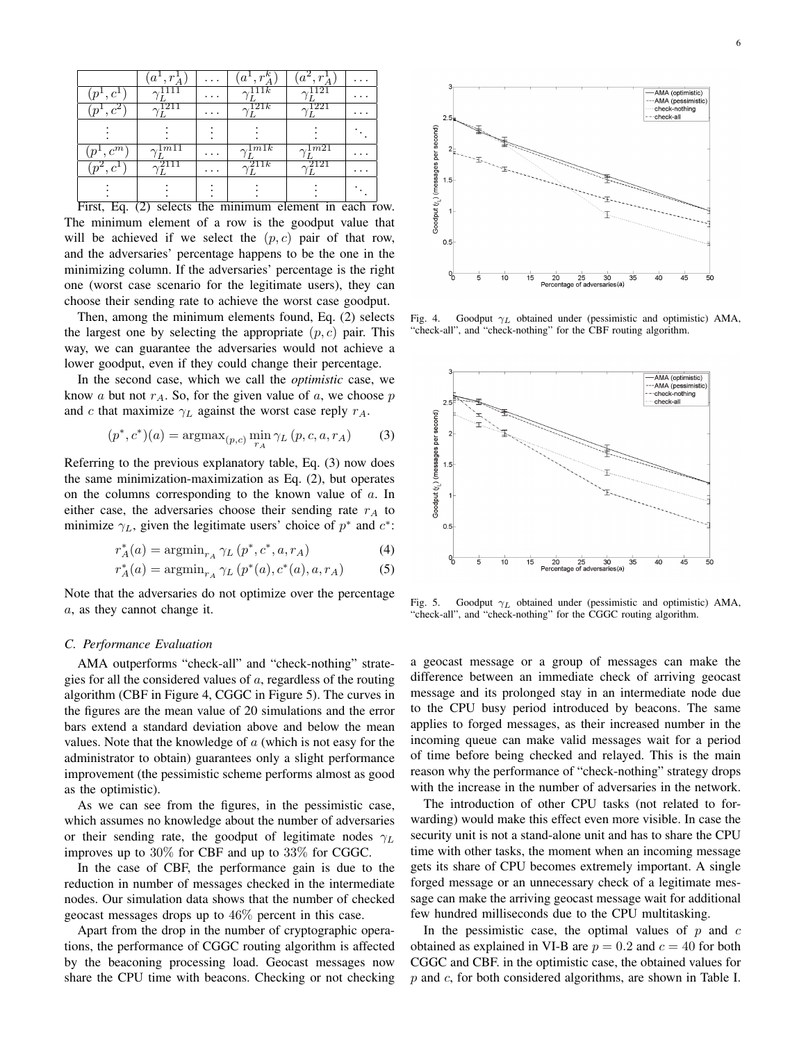|                | а                 |                 | $r^k$<br>$a^{\mathbf{r}}$ |             |  |
|----------------|-------------------|-----------------|---------------------------|-------------|--|
| $c^1$          |                   | .               | 111 <i>k</i>              | 121         |  |
| $\cdot c^{2}$  |                   | $\cdot$ $\cdot$ | 121k                      | 221         |  |
|                |                   |                 |                           |             |  |
| $c^m$          | $1m\overline{11}$ | .               | 2.1m1k                    | $\sim 1m21$ |  |
| c <sup>1</sup> |                   | $\cdot$ $\cdot$ | 211k                      | 2121        |  |
|                |                   |                 |                           |             |  |

First, Eq. (2) selects the minimum element in each row. The minimum element of a row is the goodput value that will be achieved if we select the  $(p, c)$  pair of that row, and the adversaries' percentage happens to be the one in the minimizing column. If the adversaries' percentage is the right one (worst case scenario for the legitimate users), they can choose their sending rate to achieve the worst case goodput.

Then, among the minimum elements found, Eq. (2) selects the largest one by selecting the appropriate  $(p, c)$  pair. This way, we can guarantee the adversaries would not achieve a lower goodput, even if they could change their percentage.

In the second case, which we call the *optimistic* case, we know *a* but not  $r_A$ . So, for the given value of *a*, we choose *p* and *c* that maximize  $\gamma_L$  against the worst case reply  $r_A$ .

$$
(p^*, c^*)(a) = \operatorname{argmax}_{(p,c)} \min_{r_A} \gamma_L(p, c, a, r_A)
$$
 (3)

Referring to the previous explanatory table, Eq. (3) now does the same minimization-maximization as Eq. (2), but operates on the columns corresponding to the known value of *a*. In either case, the adversaries choose their sending rate *r<sup>A</sup>* to minimize  $\gamma_L$ , given the legitimate users' choice of  $p^*$  and  $c^*$ :

$$
r_A^*(a) = \operatorname{argmin}_{r_A} \gamma_L(p^*, c^*, a, r_A)
$$
 (4)

$$
r_A^*(a) = \operatorname{argmin}_{r_A} \gamma_L(p^*(a), c^*(a), a, r_A)
$$
 (5)

Note that the adversaries do not optimize over the percentage *a*, as they cannot change it.

### *C. Performance Evaluation*

AMA outperforms "check-all" and "check-nothing" strategies for all the considered values of *a*, regardless of the routing algorithm (CBF in Figure 4, CGGC in Figure 5). The curves in the figures are the mean value of 20 simulations and the error bars extend a standard deviation above and below the mean values. Note that the knowledge of *a* (which is not easy for the administrator to obtain) guarantees only a slight performance improvement (the pessimistic scheme performs almost as good as the optimistic).

As we can see from the figures, in the pessimistic case, which assumes no knowledge about the number of adversaries or their sending rate, the goodput of legitimate nodes  $\gamma_L$ improves up to 30% for CBF and up to 33% for CGGC.

In the case of CBF, the performance gain is due to the reduction in number of messages checked in the intermediate nodes. Our simulation data shows that the number of checked geocast messages drops up to 46% percent in this case.

Apart from the drop in the number of cryptographic operations, the performance of CGGC routing algorithm is affected by the beaconing processing load. Geocast messages now share the CPU time with beacons. Checking or not checking



Fig. 4. Goodput *γ<sup>L</sup>* obtained under (pessimistic and optimistic) AMA, "check-all", and "check-nothing" for the CBF routing algorithm.



Fig. 5. Goodput *γ<sup>L</sup>* obtained under (pessimistic and optimistic) AMA, "check-all", and "check-nothing" for the CGGC routing algorithm.

a geocast message or a group of messages can make the difference between an immediate check of arriving geocast message and its prolonged stay in an intermediate node due to the CPU busy period introduced by beacons. The same applies to forged messages, as their increased number in the incoming queue can make valid messages wait for a period of time before being checked and relayed. This is the main reason why the performance of "check-nothing" strategy drops with the increase in the number of adversaries in the network.

The introduction of other CPU tasks (not related to forwarding) would make this effect even more visible. In case the security unit is not a stand-alone unit and has to share the CPU time with other tasks, the moment when an incoming message gets its share of CPU becomes extremely important. A single forged message or an unnecessary check of a legitimate message can make the arriving geocast message wait for additional few hundred milliseconds due to the CPU multitasking.

In the pessimistic case, the optimal values of *p* and *c* obtained as explained in VI-B are  $p = 0.2$  and  $c = 40$  for both CGGC and CBF. in the optimistic case, the obtained values for *p* and *c*, for both considered algorithms, are shown in Table I.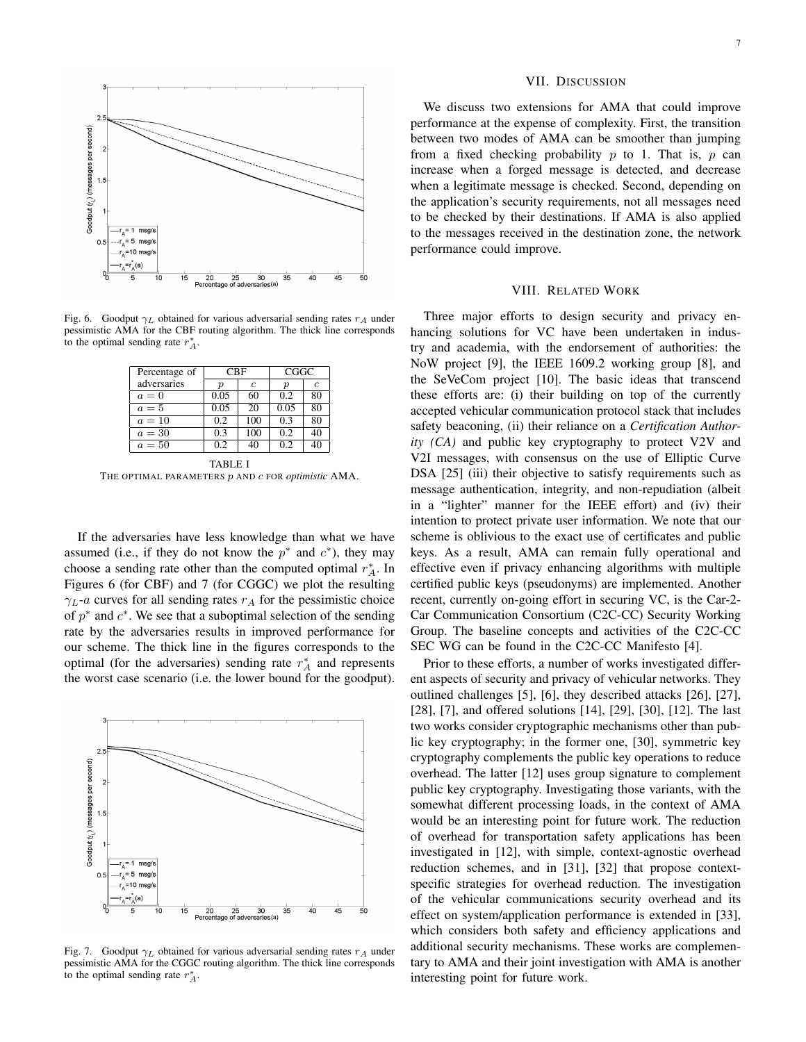

Fig. 6. Goodput  $\gamma_L$  obtained for various adversarial sending rates  $r_A$  under pessimistic AMA for the CBF routing algorithm. The thick line corresponds to the optimal sending rate  $r_A^*$ .

| Percentage of | <b>CBF</b> |     | CGGC |               |
|---------------|------------|-----|------|---------------|
| adversaries   | п          | c   | р    | $\mathcal{C}$ |
| $a=0$         | 0.05       | 60  | 02   | 80            |
| $a=5$         | 0.05       | 20  | 0.05 | 80            |
| $a=10$        | 0.2        | 100 | 0.3  | 80            |
| $a=30$        | 0.3        | 100 | 0.2  | 40            |
| $a=50$        | 02         |     | 02   |               |

TABLE I THE OPTIMAL PARAMETERS *p* AND *c* FOR *optimistic* AMA.

If the adversaries have less knowledge than what we have assumed (i.e., if they do not know the  $p^*$  and  $c^*$ ), they may choose a sending rate other than the computed optimal  $r_A^*$ . In Figures 6 (for CBF) and 7 (for CGGC) we plot the resulting  $\gamma_L$ -*a* curves for all sending rates  $r_A$  for the pessimistic choice of  $p^*$  and  $c^*$ . We see that a suboptimal selection of the sending rate by the adversaries results in improved performance for our scheme. The thick line in the figures corresponds to the optimal (for the adversaries) sending rate  $r_A^*$  and represents the worst case scenario (i.e. the lower bound for the goodput).



Fig. 7. Goodput  $\gamma_L$  obtained for various adversarial sending rates  $r_A$  under pessimistic AMA for the CGGC routing algorithm. The thick line corresponds to the optimal sending rate  $r_A^*$ .

#### VII. DISCUSSION

We discuss two extensions for AMA that could improve performance at the expense of complexity. First, the transition between two modes of AMA can be smoother than jumping from a fixed checking probability *p* to 1. That is, *p* can increase when a forged message is detected, and decrease when a legitimate message is checked. Second, depending on the application's security requirements, not all messages need to be checked by their destinations. If AMA is also applied to the messages received in the destination zone, the network performance could improve.

#### VIII. RELATED WORK

Three major efforts to design security and privacy enhancing solutions for VC have been undertaken in industry and academia, with the endorsement of authorities: the NoW project [9], the IEEE 1609.2 working group [8], and the SeVeCom project [10]. The basic ideas that transcend these efforts are: (i) their building on top of the currently accepted vehicular communication protocol stack that includes safety beaconing, (ii) their reliance on a *Certification Authority (CA)* and public key cryptography to protect V2V and V2I messages, with consensus on the use of Elliptic Curve DSA [25] (iii) their objective to satisfy requirements such as message authentication, integrity, and non-repudiation (albeit in a "lighter" manner for the IEEE effort) and (iv) their intention to protect private user information. We note that our scheme is oblivious to the exact use of certificates and public keys. As a result, AMA can remain fully operational and effective even if privacy enhancing algorithms with multiple certified public keys (pseudonyms) are implemented. Another recent, currently on-going effort in securing VC, is the Car-2- Car Communication Consortium (C2C-CC) Security Working Group. The baseline concepts and activities of the C2C-CC SEC WG can be found in the C2C-CC Manifesto [4].

Prior to these efforts, a number of works investigated different aspects of security and privacy of vehicular networks. They outlined challenges [5], [6], they described attacks [26], [27], [28], [7], and offered solutions [14], [29], [30], [12]. The last two works consider cryptographic mechanisms other than public key cryptography; in the former one, [30], symmetric key cryptography complements the public key operations to reduce overhead. The latter [12] uses group signature to complement public key cryptography. Investigating those variants, with the somewhat different processing loads, in the context of AMA would be an interesting point for future work. The reduction of overhead for transportation safety applications has been investigated in [12], with simple, context-agnostic overhead reduction schemes, and in [31], [32] that propose contextspecific strategies for overhead reduction. The investigation of the vehicular communications security overhead and its effect on system/application performance is extended in [33], which considers both safety and efficiency applications and additional security mechanisms. These works are complementary to AMA and their joint investigation with AMA is another interesting point for future work.